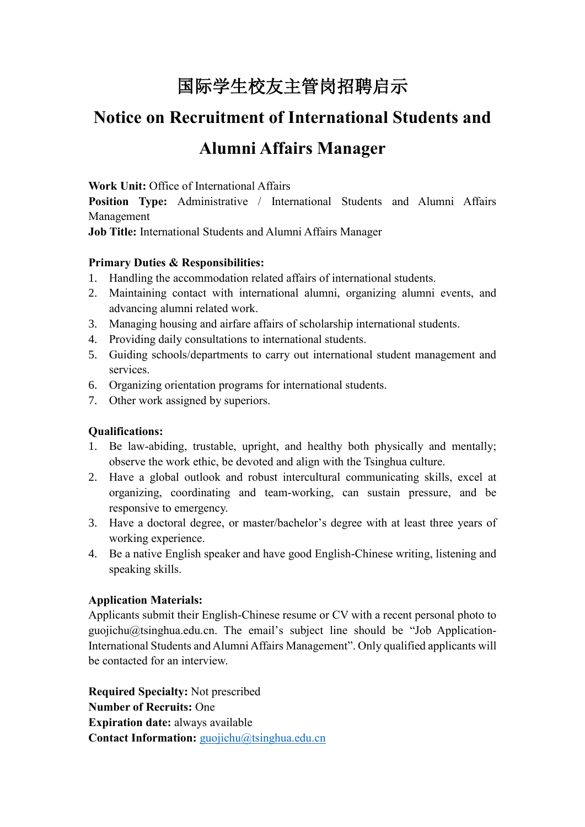# 国际学生校友主管岗招聘启示

# **Notice on Recruitment of International Students and Alumni Affairs Manager**

**Work Unit:** Office of International Affairs

**Position Type:** Administrative / International Students and Alumni Affairs Management

**Job Title:** International Students and Alumni Affairs Manager

# **Primary Duties & Responsibilities:**

- 1. Handling the accommodation related affairs of international students.
- 2. Maintaining contact with international alumni, organizing alumni events, and advancing alumni related work.
- 3. Managing housing and airfare affairs of scholarship international students.
- 4. Providing daily consultations to international students.
- 5. Guiding schools/departments to carry out international student management and services.
- 6. Organizing orientation programs for international students.
- 7. Other work assigned by superiors.

# **Qualifications:**

- 1. Be law-abiding, trustable, upright, and healthy both physically and mentally; observe the work ethic, be devoted and align with the Tsinghua culture.
- 2. Have a global outlook and robust intercultural communicating skills, excel at organizing, coordinating and team-working, can sustain pressure, and be responsive to emergency.
- 3. Have a doctoral degree, or master/bachelor's degree with at least three years of working experience.
- 4. Be a native English speaker and have good English-Chinese writing, listening and speaking skills.

# **Application Materials:**

Applicants submit their English-Chinese resume or CV with a recent personal photo to guojichu@tsinghua.edu.cn. The email's subject line should be "Job Application-International Students and Alumni Affairs Management". Only qualified applicants will be contacted for an interview.

**Required Specialty:** Not prescribed **Number of Recruits:** One **Expiration date:** always available **Contact Information:** [guojichu@tsinghua.edu.cn](mailto:guojichu@tsinghua.edu.cn)